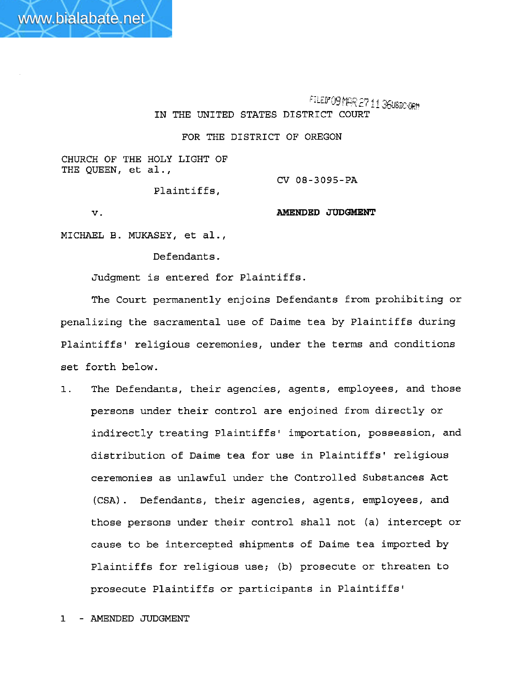FILEDFOR MAR 27 11 360SDO-0RM IN THE UNITED STATES DISTRICT COURT

FOR THE DISTRICT OF OREGON

**CHURCH** OF THE HOLY LIGHT OF **THE** QUEEN, et al.,

**CV 08-3095-PA** 

Plaintiffs,

 $\mathbf v$ .

**AMENDED JUDGMENT** 

MICHAEL B. **MUKASEY,** et al.,

Defendants.

Judgment is entered for Plaintiffs.

The Court permanently enjoins Defendants from prohibiting or penalizing the sacramental use of Daime tea by Plaintiffs during Plaintiffs' religious ceremonies, under the terms and conditions set forth below.

1. The Defendants, their agencies, agents, employees, and those persons under their control are enjoined from directly or indirectly treating Plaintiffs' importation, possession, and distribution of Daime tea for use in Plaintiffs' religious ceremonies as unlawful under the Controlled Substances Act (CSA) . Defendants, their agencies, agents, employees, and those persons under their control shall not (a) intercept or cause to be intercepted shipments of Daime tea imported by Plaintiffs for religious use; (b) prosecute or threaten to prosecute Plaintiffs or participants in Plaintiffs'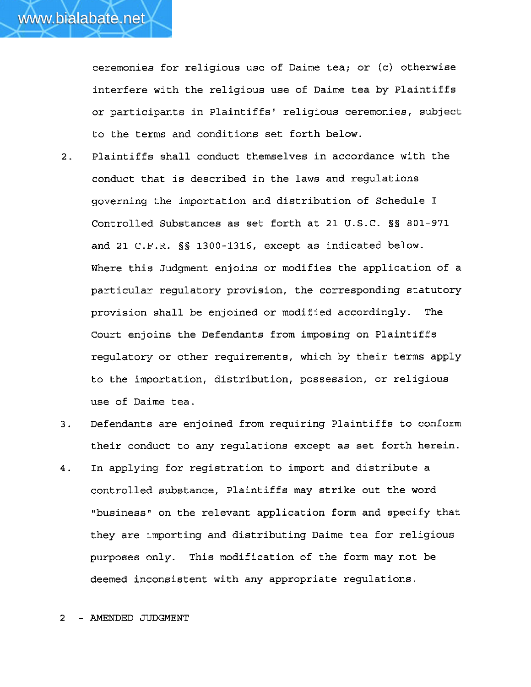ceremonies for religious use of Daime tea; or **(c)** otherwise interfere with the religious use of Daime tea by Plaintiffs or participants in Plaintiffs' religious ceremonies, subject to the terms and conditions set forth below.

- 2. Plaintiffs shall conduct themselves in accordance with the conduct that is described in the laws and regulations governing the importation and distribution of Schedule I Controlled Substances as set forth at 21 U.S.C. **S§** 801-971 and 21 C.F.R. §§ 1300-1316, except as indicated below. Where this Judgment enjoins or modifies the application of a particular regulatory provision, the corresponding statutory provision shall be enjoined or modified accordingly. The Court enjoins the Defendants from imposing on Plaintiffs regulatory or other requirements, which by their terms apply to the importation, distribution, possession, or religious use of Daime tea.
- 3. Defendants are enjoined from requiring Plaintiffs to conform their conduct to any regulations except as set forth herein.
- 4. In applying for registration to import and distribute a controlled substance, Plaintiffs may strike out the word "business" on the relevant application form and specify that they are importing and distributing Daime tea for religious purposes only. This modification of the form may not be deemed inconsistent with any appropriate regulations.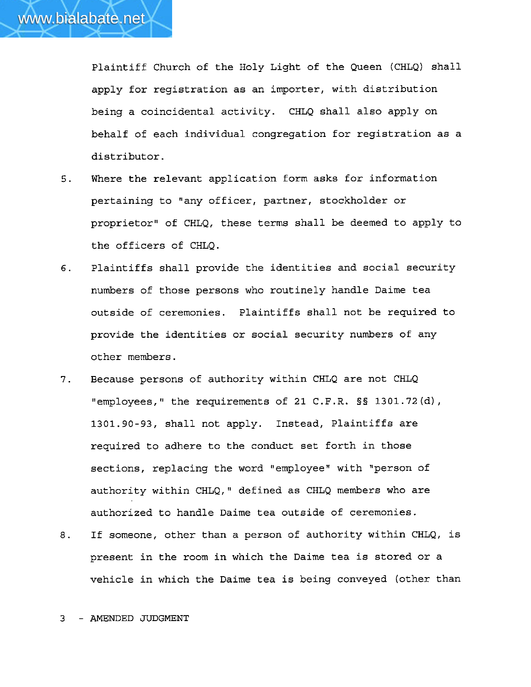Plaintiff Church of the Holy Light of the Queen (CHLQ) shall apply for registration as an importer, with distribution being a coincidental activity. CHLQ shall also apply on behalf of each individual congregation for registration as a distributor.

- 5. Where the relevant application form asks for information pertaining to "any officer, partner, stockholder or proprietor" of CHLQ, these terms shall be deemed to apply to the officers of CHLQ.
- 6. Plaintiffs shall provide the identities and social security numbers of those persons who routinely handle Daime tea outside of ceremonies. Plaintiffs shall not be required to provide the identities or social security numbers of any other members.
- 7. Because persons of authority within CHLQ are not CHLQ "employees," the requirements of 21 C.F.R. §§ 1301.72 (d), 1301.90-93, shall not apply. Instead, Plaintiffs are required to adhere to the conduct set forth in those sections, replacing the word "employee" with "person of authority within CHLQ," defined as CHLQ members who are authorized to handle Daime tea outside of ceremonies.
- 8. If someone, other than a person of authority within CHLQ, is present in the room in which the Daime tea is stored or a vehicle in which the Daime tea is being conveyed (other than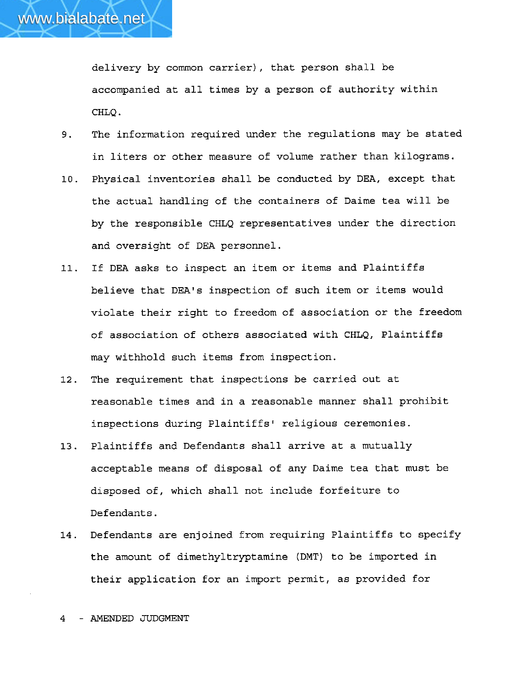delivery by common carrier), that person shall be accompanied at all times by a person of authority within CHLQ .

- 9. The information required under the regulations may be stated in liters or other measure of volume rather than kilograms.
- **10.** Physical inventories shall be conducted by DEA, except that the actual handling of the containers of Daime tea will be by the responsible CHLQ representatives under the direction and oversight of DEA personnel.
- 11. If DEA asks to inspect an item or items and Plaintiffs believe that DEA's inspection of such item or items would violate their right to freedom of association or the freedom of association of others associated with CHLQ, Plaintiffs may withhold such items from inspection.
- 12. The requirement that inspections be carried out at reasonable times and in a reasonable manner shall prohibit inspections during Plaintiffs' religious ceremonies.
- 13. Plaintiffs and Defendants shall arrive at a mutually acceptable means of disposal of any Daime tea that must be disposed of, which shall not include forfeiture to Defendants.
- 14. Defendants are enjoined from requiring Plaintiffs to specify the amount of dimethyltryptamine **(DMT)** to be imported in their application for an import permit, as provided for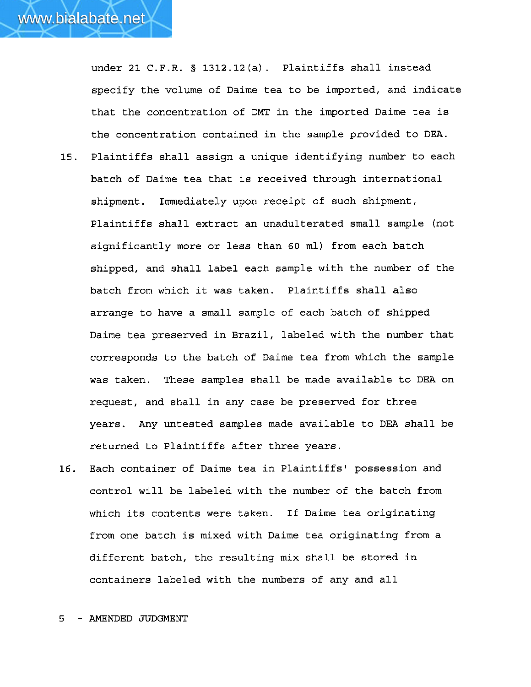under 21 C.F.R. § **1312.12(a).** Plaintiffs shall instead specify the volume of Daime tea to be imported, and indicate that the concentration of DMT in the imported Daime tea is the concentration contained in the sample provided to **DEA.** 

- 15. Plaintiffs shall assign a unique identifying number to each batch of Daime tea that is received through international shipment. Immediately upon receipt of such shipment, Plaintiffs shall extract an unadulterated small sample (not significantly more or less than 60 ml) from each batch shipped, and shall label each sample with the number of the batch from which it was taken. Plaintiffs shall also arrange to have a small sample of each batch of shipped Daime tea preserved in Brazil, labeled with the number that corresponds to the batch of Daime tea from which the sample was taken. These samples shall be made available to DEA on request, and shall in any case be preserved for three years. Any untested samples made available to **DEA** shall be returned to Plaintiffs after three years.
- 16. Each container of Daime tea in Plaintiffs' possession and control will be labeled with the number of the batch from which its contents were taken. If Daime tea originating from one batch is mixed with Daime tea originating from a different batch, the resulting mix shall be stored in containers labeled with the numbers of any and all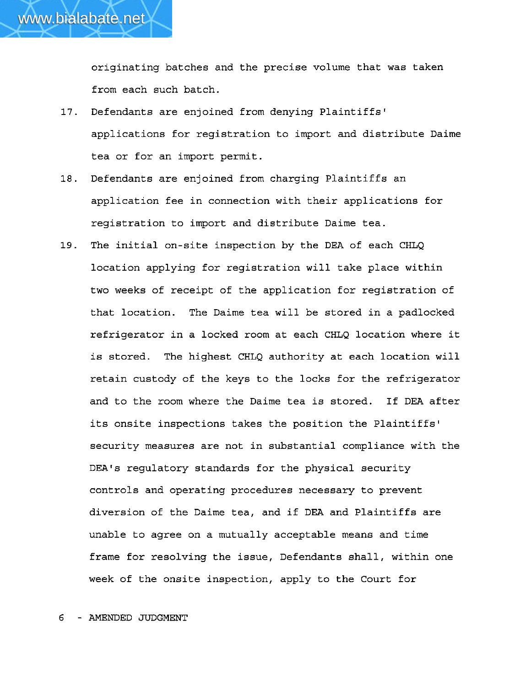originating batches and the precise volume that was taken from each such batch.

- $17.$ Defendants are enjoined from denying Plaintiffs' applications for registration to import and distribute Daime tea or for an import permit.
- 18. Defendants are enjoined from charging Plaintiffs an application fee in connection with their applications for registration to import and distribute Daime tea.
- The initial on-site inspection by the DEA of each CHLQ  $19.$ location applying for registration will take place within two weeks of receipt of the application for registration of that location. The Daime tea will be stored in a padlocked refrigerator in a locked room at each CHLQ location where it is stored. The highest CHLQ authority at each location will retain custody of the keys to the locks for the refrigerator and to the room where the Daime tea is stored. If DEA after its onsite inspections takes the position the Plaintiffs' security measures are not in substantial compliance with the DEA's regulatory standards for the physical security controls and operating procedures necessary to prevent diversion of the Daime tea, and if **DEA** and Plaintiffs are unable to agree on a mutually acceptable means and time frame for resolving the issue, Defendants shall, within one week of the onsite inspection, apply to the Court for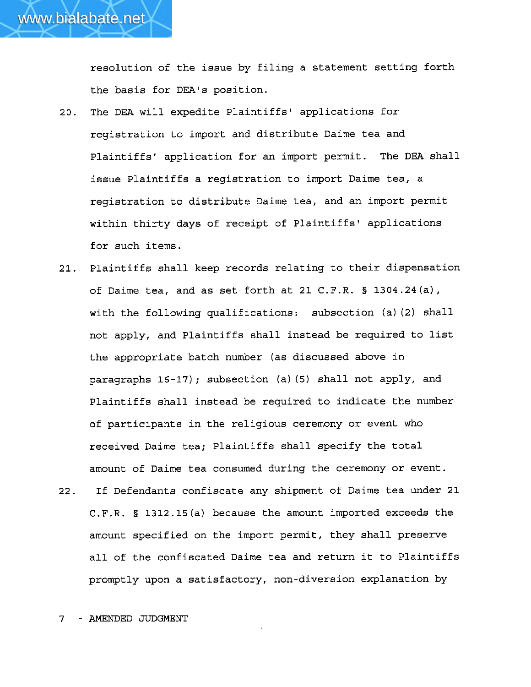resolution of the issue by filing a statement setting forth the basis for DEA's position.

- 20. The DEA will expedite Plaintiffs' applications for registration to import and distribute Daime tea and Plaintiffsv application for an import permit. The DEA shall issue Plaintiffs a registration to import Daime tea, a registration to distribute Daime tea, and an import permit within thirty days of receipt of Plaintiffs' applications for such items.
- 21. Plaintiffs shall keep records relating to their dispensation of Daime tea, and as set forth at 21 C.F.R. § 1304.24(a), with the following qualifications: subsection (a) (2) shall not apply, and Plaintiffs shall instead be required to list the appropriate batch nunher (as discussed above in paragraphs 16-17) ; subsection (a) (5) shall not apply, and Plaintiffs shall instead be required to indicate the number of participants in the religious ceremony or event who received Daime tea; Plaintiffs shall specify the total amount of Daime tea consumed during the ceremony or event.
- 22. If Defendants confiscate any shipment of Daime tea under 21 C.F.R. § 1312.15(a) because the amount imported exceeds the amount specified on the import permit, they shall preserve all of the confiscated Daime tea and return it to Plaintiffs promptly upon a satisfactory, non-diversion explanation by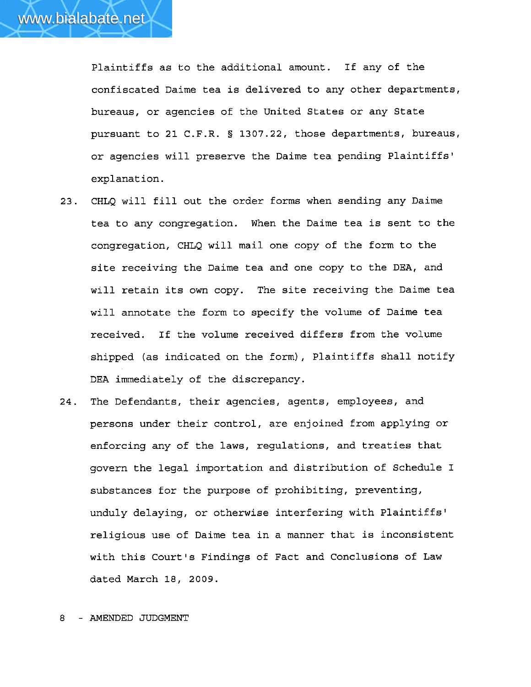Plaintiffs as to the additional amount. If any of the confiscated Daime tea is delivered to any other departments, bureaus, or agencies of the United States or any State pursuant to 21 C.F.R. § 1307.22, those departments, bureaus, or agencies will preserve the Daime tea pending Plaintiffs' explanation.

- 23. CHLQ will fill out the order forms when sending any Daime tea to any congregation. When the Daime tea is sent to the congregation, CHLQ will mail one copy of the form to the site receiving the Daime tea and one copy to the DEA, and will retain its own copy. The site receiving the Daime tea will annotate the form to specify the volume of Daime tea received. If the volume received differs from the volume shipped (as indicated on the form), Plaintiffs shall notify DEA immediately of the discrepancy.
- 24. The Defendants, their agencies, agents, employees, and persons under their control, are enjoined from applying **ox**  enforcing any of the laws, regulations, and treaties that govern the legal importation and distribution of Schedule I substances for the purpose of prohibiting, preventing, unduly delaying, or otherwise interfering with Plaintiffs<sup>1</sup> religious use of Daime tea in a manner that is inconsistent with this Court's Findings of Fact and Conclusions of Law dated March **18,** 2009.